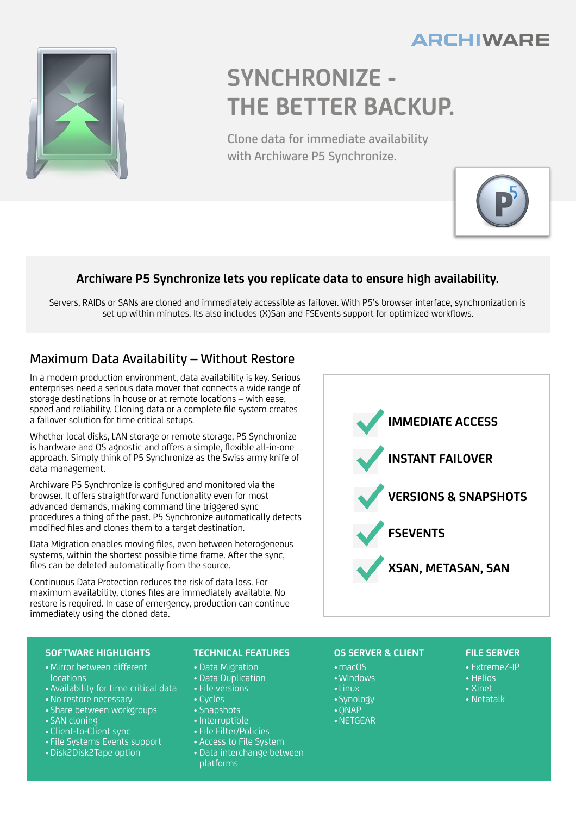## **ARCHIWARE**



# **SYNCHRONIZE - THE BETTER BACKUP.**

Clone data for immediate availability with Archiware P5 Synchronize.



### **Archiware P5 Synchronize lets you replicate data to ensure high availability.**

Servers, RAIDs or SANs are cloned and immediately accessible as failover. With P5's browser interface, synchronization is set up within minutes. Its also includes (X)San and FSEvents support for optimized workflows.

## Maximum Data Availability – Without Restore

In a modern production environment, data availability is key. Serious enterprises need a serious data mover that connects a wide range of storage destinations in house or at remote locations – with ease, speed and reliability. Cloning data or a complete file system creates a failover solution for time critical setups.

Whether local disks, LAN storage or remote storage, P5 Synchronize is hardware and OS agnostic and offers a simple, flexible all-in-one approach. Simply think of P5 Synchronize as the Swiss army knife of data management.

Archiware P5 Synchronize is configured and monitored via the browser. It offers straightforward functionality even for most advanced demands, making command line triggered sync procedures a thing of the past. P5 Synchronize automatically detects modified files and clones them to a target destination.

Data Migration enables moving files, even between heterogeneous systems, within the shortest possible time frame. After the sync, files can be deleted automatically from the source.

Continuous Data Protection reduces the risk of data loss. For maximum availability, clones files are immediately available. No restore is required. In case of emergency, production can continue immediately using the cloned data.



#### **SOFTWARE HIGHLIGHTS**

- •Mirror between different locations
- •Availability for time critical data
- •No restore necessary
- •Share between workgroups
- •SAN cloning
- •Client-to-Client sync
- File Systems Events support
- •Disk2Disk2Tape option

#### **TECHNICAL FEATURES**

- Data Migration
- Data Duplication
- File versions
- Cycles
- Snapshots
- Interruptible
- File Filter/Policies
- Access to File System
- Data interchange between platforms

#### **OS SERVER & CLIENT**

- •macOS •Windows
- •Linux
- •Synology
- •QNAP
- •NETGEAR

#### **FILE SERVER**

- ExtremeZ-IP
- Helios
- Xinet
- Netatalk